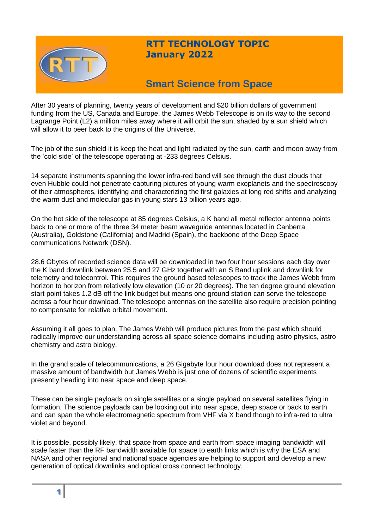

## **RTT TECHNOLOGY TOPIC January 2022**

# **Smart Science from Space**

After 30 years of planning, twenty years of development and \$20 billion dollars of government funding from the US, Canada and Europe, the James Webb Telescope is on its way to the second Lagrange Point (L2) a million miles away where it will orbit the sun, shaded by a sun shield which will allow it to peer back to the origins of the Universe.

The job of the sun shield it is keep the heat and light radiated by the sun, earth and moon away from the 'cold side' of the telescope operating at -233 degrees Celsius.

14 separate instruments spanning the lower infra-red band will see through the dust clouds that even Hubble could not penetrate capturing pictures of young warm exoplanets and the spectroscopy of their atmospheres, identifying and characterizing the first galaxies at long red shifts and analyzing the warm dust and molecular gas in young stars 13 billion years ago.

On the hot side of the telescope at 85 degrees Celsius, a K band all metal reflector antenna points back to one or more of the three 34 meter beam waveguide antennas located in Canberra (Australia), Goldstone (California) and Madrid (Spain), the backbone of the Deep Space communications Network (DSN).

28.6 Gbytes of recorded science data will be downloaded in two four hour sessions each day over the K band downlink between 25.5 and 27 GHz together with an S Band uplink and downlink for telemetry and telecontrol. This requires the ground based telescopes to track the James Webb from horizon to horizon from relatively low elevation (10 or 20 degrees). The ten degree ground elevation start point takes 1.2 dB off the link budget but means one ground station can serve the telescope across a four hour download. The telescope antennas on the satellite also require precision pointing to compensate for relative orbital movement.

Assuming it all goes to plan, The James Webb will produce pictures from the past which should radically improve our understanding across all space science domains including astro physics, astro chemistry and astro biology.

In the grand scale of telecommunications, a 26 Gigabyte four hour download does not represent a massive amount of bandwidth but James Webb is just one of dozens of scientific experiments presently heading into near space and deep space.

These can be single payloads on single satellites or a single payload on several satellites flying in formation. The science payloads can be looking out into near space, deep space or back to earth and can span the whole electromagnetic spectrum from VHF via X band though to infra-red to ultra violet and beyond.

It is possible, possibly likely, that space from space and earth from space imaging bandwidth will scale faster than the RF bandwidth available for space to earth links which is why the ESA and NASA and other regional and national space agencies are helping to support and develop a new generation of optical downlinks and optical cross connect technology.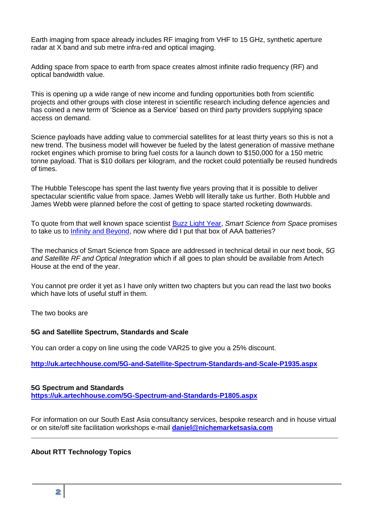Earth imaging from space already includes RF imaging from VHF to 15 GHz, synthetic aperture radar at X band and sub metre infra-red and optical imaging.

Adding space from space to earth from space creates almost infinite radio frequency (RF) and optical bandwidth value.

This is opening up a wide range of new income and funding opportunities both from scientific projects and other groups with close interest in scientific research including defence agencies and has coined a new term of 'Science as a Service' based on third party providers supplying space access on demand.

Science payloads have adding value to commercial satellites for at least thirty years so this is not a new trend. The business model will however be fueled by the latest generation of massive methane rocket engines which promise to bring fuel costs for a launch down to \$150,000 for a 150 metric tonne payload. That is \$10 dollars per kilogram, and the rocket could potentially be reused hundreds of times.

The Hubble Telescope has spent the last twenty five years proving that it is possible to deliver spectacular scientific value from space. James Webb will literally take us further. Both Hubble and James Webb were planned before the cost of getting to space started rocketing downwards.

To quote from that well known space scientist [Buzz Light Year,](https://www.imdb.com/title/tt10298810/) *Smart Science from Space* promises to take us to [Infinity and Beyond,](https://pixar.fandom.com/wiki/To_Infinity_and_Beyond) now where did I put that box of AAA batteries?

The mechanics of Smart Science from Space are addressed in technical detail in our next book, *5G and Satellite RF and Optical Integration* which if all goes to plan should be available from Artech House at the end of the year.

You cannot pre order it yet as I have only written two chapters but you can read the last two books which have lots of useful stuff in them.

The two books are

## **5G and Satellite Spectrum, Standards and Scale**

You can order a copy on line using the code VAR25 to give you a 25% discount.

**<http://uk.artechhouse.com/5G-and-Satellite-Spectrum-Standards-and-Scale-P1935.aspx>**

#### **5G Spectrum and Standards <https://uk.artechhouse.com/5G-Spectrum-and-Standards-P1805.aspx>**

For information on our South East Asia consultancy services, bespoke research and in house virtual or on site/off site facilitation workshops e-mail **[daniel@nichemarketsasia.com](mailto:daniel@nichemarketsasia.com)**

## **About RTT Technology Topics**